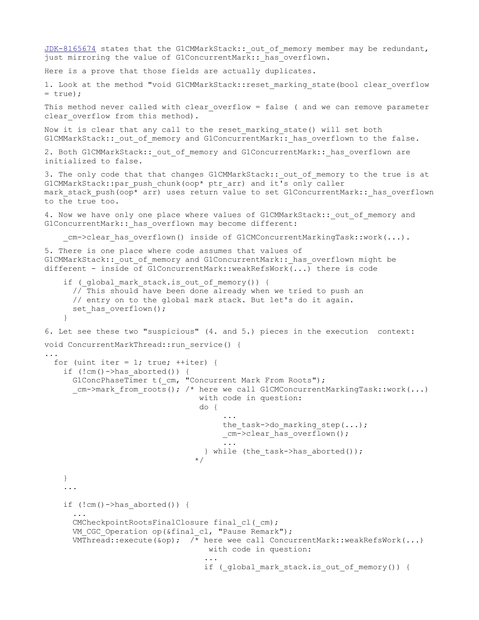```
JDK-8165674 states that the G1CMMarkStack:: out of memory member may be redundant,
just mirroring the value of G1ConcurrentMark:: has overflown.
Here is a prove that those fields are actually duplicates.
1. Look at the method "void G1CMMarkStack::reset marking state(bool clear overflow
= true;
This method never called with clear overflow = false ( and we can remove parameter
clear overflow from this method).
Now it is clear that any call to the reset marking state() will set both
G1CMMarkStack:: out of memory and G1ConcurrentMark:: has overflown to the false.
2. Both G1CMMarkStack:: out of memory and G1ConcurrentMark:: has overflown are
initialized to false.
3. The only code that that changes G1CMMarkStack:: out of memory to the true is at
G1CMMarkStack::par_push_chunk(oop* ptr_arr) and it's only caller
mark stack push(oop* arr) uses return value to set G1ConcurrentMark:: has overflown
to the true too.
4. Now we have only one place where values of G1CMMarkStack:: out of memory and
G1ConcurrentMark:: has overflown may become different:
    cm->clear has overflown() inside of G1CMConcurrentMarkingTask::work(...).
5. There is one place where code assumes that values of 
G1CMMarkStack:: out of memory and G1ConcurrentMark:: has overflown might be
different - inside of G1ConcurrentMark::weakRefsWork\overline{(\ldots)} there is code
    if ( global mark stack.is out of memory()) {
       // This should have been done already when we tried to push an
       // entry on to the global mark stack. But let's do it again.
      set has overflown();
     }
6. Let see these two "suspicious" (4. and 5.) pieces in the execution context:
void ConcurrentMarkThread:: run service() {
...
 for (uint iter = 1; true; ++iter) {
    if (!cm() - \geqhas aborted()) {
      G1ConcPhaseTimer t( cm, "Concurrent Mark From Roots");
      cm->mark from roots(); /* here we call G1CMConcurrentMarkingTask::work(...)
                                  with code in question:
                                  do { 
                                     ...
                                       the task->do marking step(\dots);
                                       _cm->clear_has_overflown();
                                       ...
                                   } while (the_task->has aborted());
                                 */
     }
    ...
    if (!cm()->hasaborted()) {
       ... 
      CMCheckpointRootsFinalClosure final cl(cm);
      VM CGC Operation op(&final cl, "Pause Remark");
      VMThread::execute(&op); \sqrt{*} here wee call ConcurrentMark::weakRefsWork(...)
                                    with code in question:
                                   ...
                                   if ( global mark stack.is out of memory()) {
```